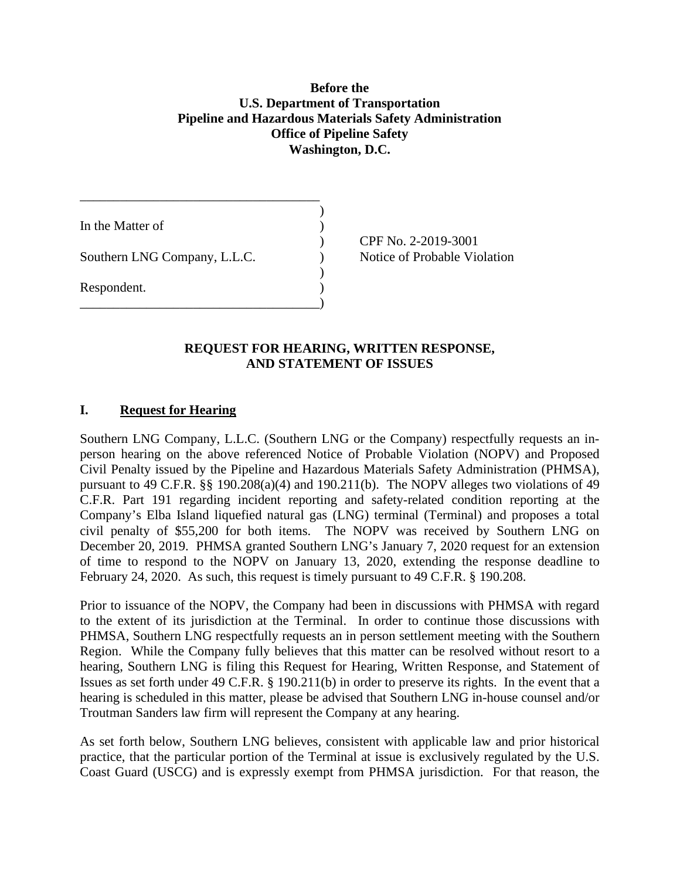### **Before the U.S. Department of Transportation Pipeline and Hazardous Materials Safety Administration Office of Pipeline Safety Washington, D.C.**

)

)

In the Matter of Southern LNG Company, L.L.C.  $\qquad \qquad$  Notice of Probable Violation Respondent. ) \_\_\_\_\_\_\_\_\_\_\_\_\_\_\_\_\_\_\_\_\_\_\_\_\_\_\_\_\_\_\_\_\_\_\_\_)

\_\_\_\_\_\_\_\_\_\_\_\_\_\_\_\_\_\_\_\_\_\_\_\_\_\_\_\_\_\_\_\_\_\_\_\_

) CPF No. 2-2019-3001

## **AND STATEMENT OF ISSUES**<br> **I.** Request for Hearing **REQUEST FOR HEARING, WRITTEN RESPONSE,**

 Southern LNG Company, L.L.C. (Southern LNG or the Company) respectfully requests an in- person hearing on the above referenced Notice of Probable Violation (NOPV) and Proposed Civil Penalty issued by the Pipeline and Hazardous Materials Safety Administration (PHMSA), pursuant to 49 C.F.R. §§ 190.208(a)(4) and 190.211(b). The NOPV alleges two violations of 49 C.F.R. Part 191 regarding incident reporting and safety-related condition reporting at the Company's Elba Island liquefied natural gas (LNG) terminal (Terminal) and proposes a total civil penalty of \$55,200 for both items. The NOPV was received by Southern LNG on December 20, 2019. PHMSA granted Southern LNG's January 7, 2020 request for an extension of time to respond to the NOPV on January 13, 2020, extending the response deadline to February 24, 2020. As such, this request is timely pursuant to 49 C.F.R. § 190.208.

 Prior to issuance of the NOPV, the Company had been in discussions with PHMSA with regard to the extent of its jurisdiction at the Terminal. In order to continue those discussions with PHMSA, Southern LNG respectfully requests an in person settlement meeting with the Southern Region. While the Company fully believes that this matter can be resolved without resort to a hearing, Southern LNG is filing this Request for Hearing, Written Response, and Statement of Issues as set forth under 49 C.F.R. § 190.211(b) in order to preserve its rights. In the event that a hearing is scheduled in this matter, please be advised that Southern LNG in-house counsel and/or Troutman Sanders law firm will represent the Company at any hearing.

 As set forth below, Southern LNG believes, consistent with applicable law and prior historical practice, that the particular portion of the Terminal at issue is exclusively regulated by the U.S. Coast Guard (USCG) and is expressly exempt from PHMSA jurisdiction. For that reason, the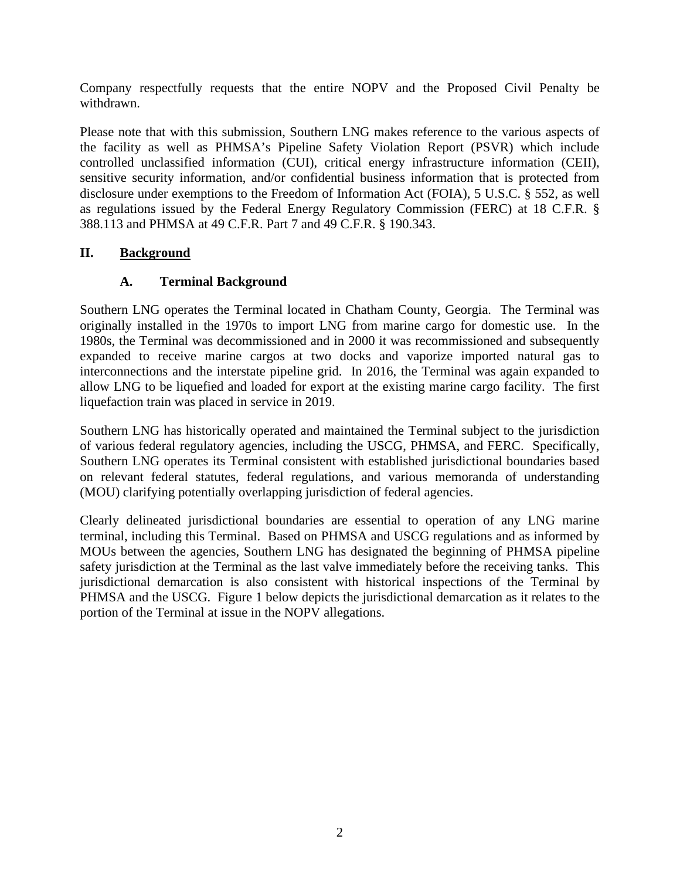Company respectfully requests that the entire NOPV and the Proposed Civil Penalty be withdrawn.

 Please note that with this submission, Southern LNG makes reference to the various aspects of the facility as well as PHMSA's Pipeline Safety Violation Report (PSVR) which include sensitive security information, and/or confidential business information that is protected from disclosure under exemptions to the Freedom of Information Act (FOIA), 5 U.S.C. § 552, as well as regulations issued by the Federal Energy Regulatory Commission (FERC) at 18 C.F.R. § controlled unclassified information (CUI), critical energy infrastructure information (CEII), 388.113 and PHMSA at 49 C.F.R. Part 7 and 49 C.F.R. § 190.343.

### **II. Background**

### **A. Terminal Background**

 Southern LNG operates the Terminal located in Chatham County, Georgia. The Terminal was originally installed in the 1970s to import LNG from marine cargo for domestic use. In the 1980s, the Terminal was decommissioned and in 2000 it was recommissioned and subsequently expanded to receive marine cargos at two docks and vaporize imported natural gas to interconnections and the interstate pipeline grid. In 2016, the Terminal was again expanded to allow LNG to be liquefied and loaded for export at the existing marine cargo facility. The first liquefaction train was placed in service in 2019.

 Southern LNG has historically operated and maintained the Terminal subject to the jurisdiction of various federal regulatory agencies, including the USCG, PHMSA, and FERC. Specifically, Southern LNG operates its Terminal consistent with established jurisdictional boundaries based on relevant federal statutes, federal regulations, and various memoranda of understanding (MOU) clarifying potentially overlapping jurisdiction of federal agencies.

 (MOU) clarifying potentially overlapping jurisdiction of federal agencies. Clearly delineated jurisdictional boundaries are essential to operation of any LNG marine terminal, including this Terminal. Based on PHMSA and USCG regulations and as informed by MOUs between the agencies, Southern LNG has designated the beginning of PHMSA pipeline safety jurisdiction at the Terminal as the last valve immediately before the receiving tanks. This jurisdictional demarcation is also consistent with historical inspections of the Terminal by PHMSA and the USCG. Figure 1 below depicts the jurisdictional demarcation as it relates to the portion of the Terminal at issue in the NOPV allegations. portion of the Terminal at issue in the NOPV allegations.<br>
2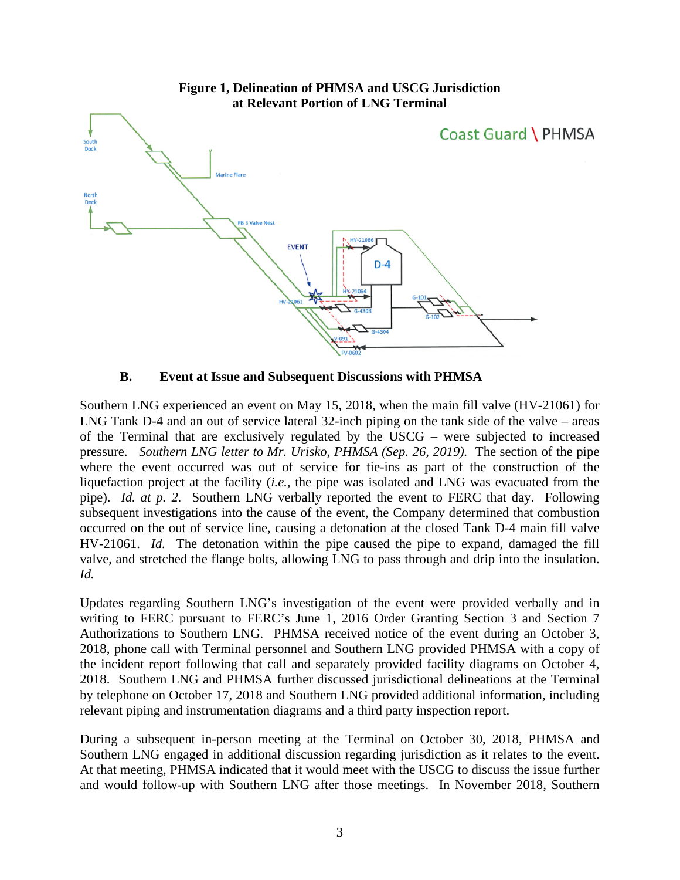

 Southern LNG experienced an event on May 15, 2018, when the main fill valve (HV-21061) for LNG Tank D-4 and an out of service lateral 32-inch piping on the tank side of the valve – areas of the Terminal that are exclusively regulated by the USCG – were subjected to increased pressure. *Southern LNG letter to Mr. Urisko, PHMSA (Sep. 26, 2019)*. The section of the pipe where the event occurred was out of service for tie-ins as part of the construction of the liquefaction project at the facility (*i.e.,* the pipe was isolated and LNG was evacuated from the  pipe). *Id. at p. 2.* Southern LNG verbally reported the event to FERC that day. Following subsequent investigations into the cause of the event, the Company determined that combustion occurred on the out of service line, causing a detonation at the closed Tank D-4 main fill valve HV-21061. *Id.* The detonation within the pipe caused the pipe to expand, damaged the fill valve, and stretched the flange bolts, allowing LNG to pass through and drip into the insulation. *Id.* 

 Updates regarding Southern LNG's investigation of the event were provided verbally and in writing to FERC pursuant to FERC's June 1, 2016 Order Granting Section 3 and Section 7 Authorizations to Southern LNG. PHMSA received notice of the event during an October 3, 2018, phone call with Terminal personnel and Southern LNG provided PHMSA with a copy of the incident report following that call and separately provided facility diagrams on October 4, 2018. Southern LNG and PHMSA further discussed jurisdictional delineations at the Terminal by telephone on October 17, 2018 and Southern LNG provided additional information, including relevant piping and instrumentation diagrams and a third party inspection report.

 During a subsequent in-person meeting at the Terminal on October 30, 2018, PHMSA and At that meeting, PHMSA indicated that it would meet with the USCG to discuss the issue further and would follow-up with Southern LNG after those meetings. In November 2018, Southern Southern LNG engaged in additional discussion regarding jurisdiction as it relates to the event.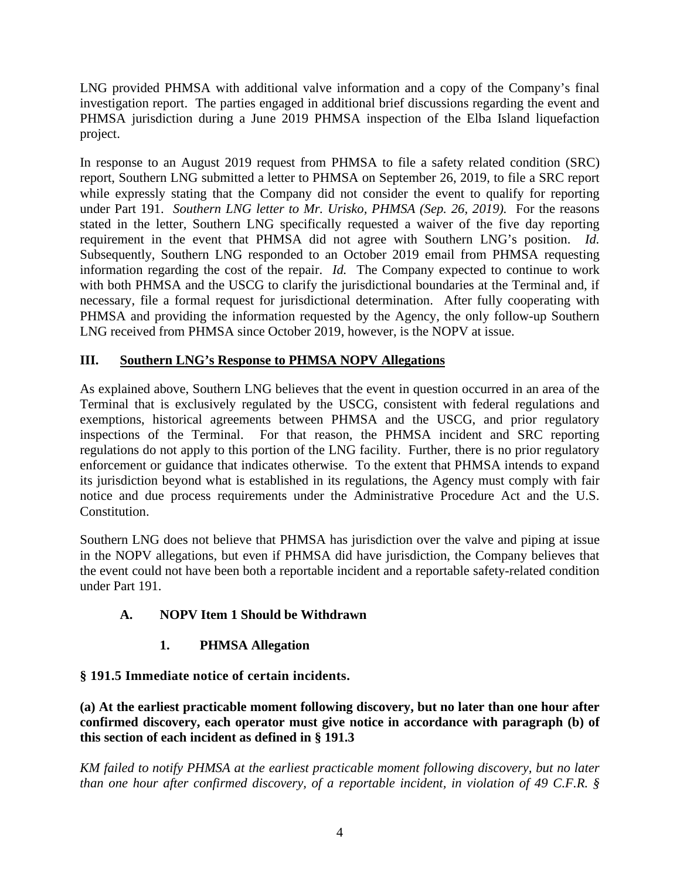LNG provided PHMSA with additional valve information and a copy of the Company's final investigation report. The parties engaged in additional brief discussions regarding the event and PHMSA jurisdiction during a June 2019 PHMSA inspection of the Elba Island liquefaction project.

 In response to an August 2019 request from PHMSA to file a safety related condition (SRC) report, Southern LNG submitted a letter to PHMSA on September 26, 2019, to file a SRC report while expressly stating that the Company did not consider the event to qualify for reporting under Part 191. *Southern LNG letter to Mr. Urisko, PHMSA (Sep. 26, 2019).* For the reasons stated in the letter, Southern LNG specifically requested a waiver of the five day reporting requirement in the event that PHMSA did not agree with Southern LNG's position. *Id.*  Subsequently, Southern LNG responded to an October 2019 email from PHMSA requesting information regarding the cost of the repair. *Id.* The Company expected to continue to work with both PHMSA and the USCG to clarify the jurisdictional boundaries at the Terminal and, if necessary, file a formal request for jurisdictional determination. After fully cooperating with PHMSA and providing the information requested by the Agency, the only follow-up Southern LNG received from PHMSA since October 2019, however, is the NOPV at issue.

### **III. Southern LNG's Response to PHMSA NOPV Allegations**

 As explained above, Southern LNG believes that the event in question occurred in an area of the Terminal that is exclusively regulated by the USCG, consistent with federal regulations and exemptions, historical agreements between PHMSA and the USCG, and prior regulatory inspections of the Terminal. For that reason, the PHMSA incident and SRC reporting regulations do not apply to this portion of the LNG facility. Further, there is no prior regulatory enforcement or guidance that indicates otherwise. To the extent that PHMSA intends to expand notice and due process requirements under the Administrative Procedure Act and the U.S. its jurisdiction beyond what is established in its regulations, the Agency must comply with fair Constitution.

 Southern LNG does not believe that PHMSA has jurisdiction over the valve and piping at issue in the NOPV allegations, but even if PHMSA did have jurisdiction, the Company believes that the event could not have been both a reportable incident and a reportable safety-related condition under Part 191.

# **A. NOPV Item 1 Should be Withdrawn 1. PHMSA Allegation**

 **§ 191.5 Immediate notice of certain incidents.** 

 **(a) At the earliest practicable moment following discovery, but no later than one hour after confirmed discovery, each operator must give notice in accordance with paragraph (b) of this section of each incident as defined in § 191.3** 

 *KM failed to notify PHMSA at the earliest practicable moment following discovery, but no later than one hour after confirmed discovery, of a reportable incident, in violation of 49 C.F.R. §*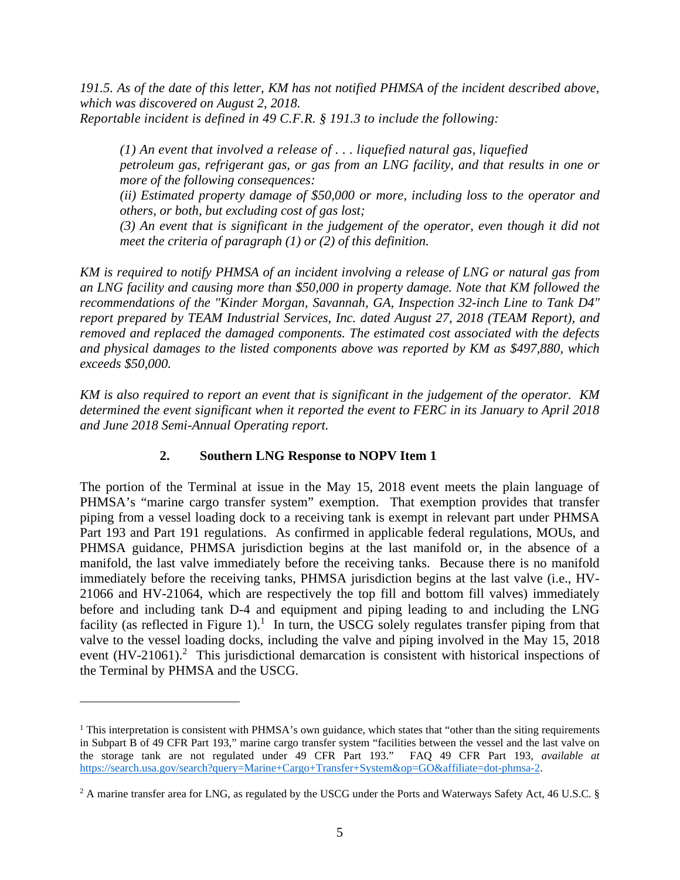*191.5. As of the date of this letter, KM has not notified PHMSA of the incident described above, Reportable incident is defined in 49 C.F.R. § 191.3 to include the following: which was discovered on August 2, 2018.* 

 *(1) An event that involved a release of . . . liquefied natural gas, liquefied petroleum gas, refrigerant gas, or gas from an LNG facility, and that results in one or more of the following consequences:* 

(ii) Estimated property damage of \$50,000 or more, including loss to the operator and *others, or both, but excluding cost of gas lost;* 

 *(3) An event that is significant in the judgement of the operator, even though it did not meet the criteria of paragraph (1) or (2) of this definition.* 

 *KM is required to notify PHMSA of an incident involving a release of LNG or natural gas from an LNG facility and causing more than \$50,000 in property damage. Note that KM followed the recommendations of the "Kinder Morgan, Savannah, GA, Inspection 32-inch Line to Tank D4" report prepared by TEAM Industrial Services, Inc. dated August 27, 2018 (TEAM Report), and removed and replaced the damaged components. The estimated cost associated with the defects and physical damages to the listed components above was reported by KM as \$497,880, which exceeds \$50,000.* 

 *KM is also required to report an event that is significant in the judgement of the operator. KM determined the event significant when it reported the event to FERC in its January to April 2018 and June 2018 Semi-Annual Operating report.* 

### **2. Southern LNG Response to NOPV Item 1**

 The portion of the Terminal at issue in the May 15, 2018 event meets the plain language of PHMSA's "marine cargo transfer system" exemption. That exemption provides that transfer piping from a vessel loading dock to a receiving tank is exempt in relevant part under PHMSA Part 193 and Part 191 regulations. As confirmed in applicable federal regulations, MOUs, and PHMSA guidance, PHMSA jurisdiction begins at the last manifold or, in the absence of a manifold, the last valve immediately before the receiving tanks. Because there is no manifold immediately before the receiving tanks, PHMSA jurisdiction begins at the last valve (i.e., HV- 21066 and HV-21064, which are respectively the top fill and bottom fill valves) immediately before and including tank D-4 and equipment and piping leading to and including the LNG facility (as reflected in Figure 1).<sup>1</sup> In turn, the USCG solely regulates transfer piping from that valve to the vessel loading docks, including the valve and piping involved in the May 15, 2018 event  $(HV-21061)$ .<sup>2</sup> This jurisdictional demarcation is consistent with historical inspections of the Terminal by PHMSA and the USCG.

 $<sup>1</sup>$  This interpretation is consistent with PHMSA's own guidance, which states that "other than the siting requirements</sup> in Subpart B of 49 CFR Part 193," marine cargo transfer system "facilities between the vessel and the last valve on the storage tank are not regulated under 49 CFR Part 193." FAQ 49 CFR Part 193, *available at*  <https://search.usa.gov/search?query=Marine+Cargo+Transfer+System&op=GO&affiliate=dot-phmsa-2>.

 $^2$  A marine transfer area for LNG, as regulated by the USCG under the Ports and Waterways Safety Act, 46 U.S.C. §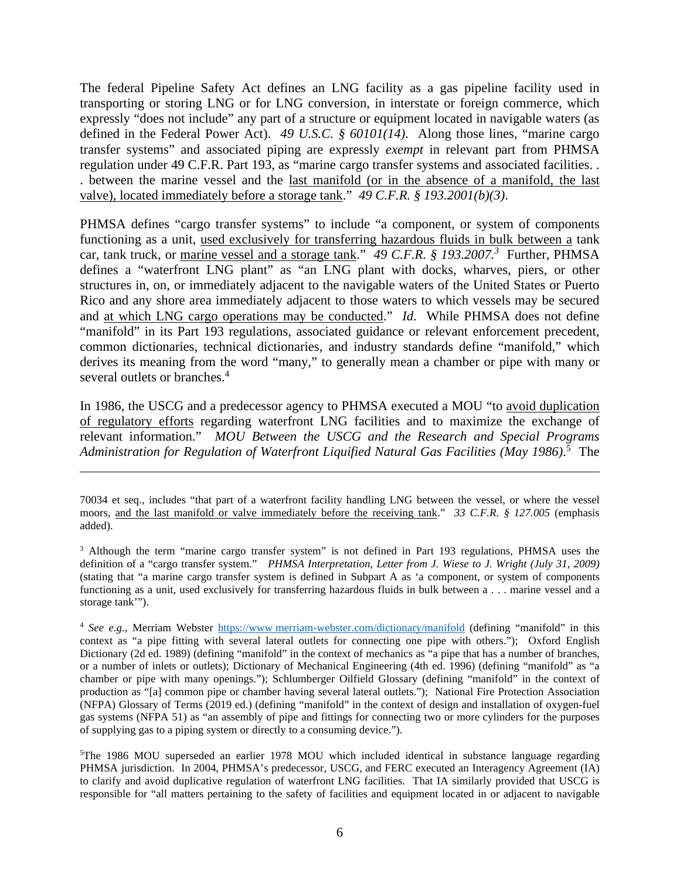The federal Pipeline Safety Act defines an LNG facility as a gas pipeline facility used in transporting or storing LNG or for LNG conversion, in interstate or foreign commerce, which expressly "does not include" any part of a structure or equipment located in navigable waters (as defined in the Federal Power Act). *49 U.S.C. § 60101(14)*. Along those lines, "marine cargo transfer systems" and associated piping are expressly *exempt* in relevant part from PHMSA regulation under 49 C.F.R. Part 193, as "marine cargo transfer systems and associated facilities. . . between the marine vessel and the last manifold (or in the absence of a manifold, the last valve), located immediately before a storage tank." *49 C.F.R. § 193.2001(b)(3)*.

 PHMSA defines "cargo transfer systems" to include "a component, or system of components functioning as a unit, used exclusively for transferring hazardous fluids in bulk between a tank car, tank truck, or marine vessel and a storage tank." 49 C.F.R. § 193.2007.<sup>3</sup> Further, PHMSA defines a "waterfront LNG plant" as "an LNG plant with docks, wharves, piers, or other structures in, on, or immediately adjacent to the navigable waters of the United States or Puerto Rico and any shore area immediately adjacent to those waters to which vessels may be secured and at which LNG cargo operations may be conducted." *Id*. While PHMSA does not define "manifold" in its Part 193 regulations, associated guidance or relevant enforcement precedent, common dictionaries, technical dictionaries, and industry standards define "manifold," which derives its meaning from the word "many," to generally mean a chamber or pipe with many or several outlets or branches.<sup>4</sup>

In 1986, the USCG and a predecessor agency to PHMSA executed a MOU "to avoid duplication of regulatory efforts regarding waterfront LNG facilities and to maximize the exchange of relevant information." *MOU Between the USCG and the Research and Special Programs Administration for Regulation of Waterfront Liquified Natural Gas Facilities (May 1986)*. 5 The

 70034 et seq., includes "that part of a waterfront facility handling LNG between the vessel, or where the vessel moors, and the last manifold or valve immediately before the receiving tank." *33 C.F.R. § 127.005* (emphasis added).

added).<br><sup>3</sup> Although the term "marine cargo transfer system" is not defined in Part 193 regulations, PHMSA uses the definition of a "cargo transfer system." *PHMSA Interpretation, Letter from J. Wiese to J. Wright (July 31, 2009)*  (stating that "a marine cargo transfer system is defined in Subpart A as 'a component, or system of components functioning as a unit, used exclusively for transferring hazardous fluids in bulk between a . . . marine vessel and a storage tank'").

 <sup>4</sup>*See e.g.,* Merriam Webster <https://www>[merriam-webster.com/dictionary/manifold](https://merriam-webster.com/dictionary/manifold) (defining "manifold" in this context as "a pipe fitting with several lateral outlets for connecting one pipe with others."); Oxford English Dictionary (2d ed. 1989) (defining "manifold" in the context of mechanics as "a pipe that has a number of branches, or a number of inlets or outlets); Dictionary of Mechanical Engineering (4th ed. 1996) (defining "manifold" as "a chamber or pipe with many openings."); Schlumberger Oilfield Glossary (defining "manifold" in the context of production as "[a] common pipe or chamber having several lateral outlets."); National Fire Protection Association (NFPA) Glossary of Terms (2019 ed.) (defining "manifold" in the context of design and installation of oxygen-fuel gas systems (NFPA 51) as "an assembly of pipe and fittings for connecting two or more cylinders for the purposes of supplying gas to a piping system or directly to a consuming device.").

 5 The 1986 MOU superseded an earlier 1978 MOU which included identical in substance language regarding PHMSA jurisdiction. In 2004, PHMSA's predecessor, USCG, and FERC executed an Interagency Agreement (IA) to clarify and avoid duplicative regulation of waterfront LNG facilities. That IA similarly provided that USCG is responsible for "all matters pertaining to the safety of facilities and equipment located in or adjacent to navigable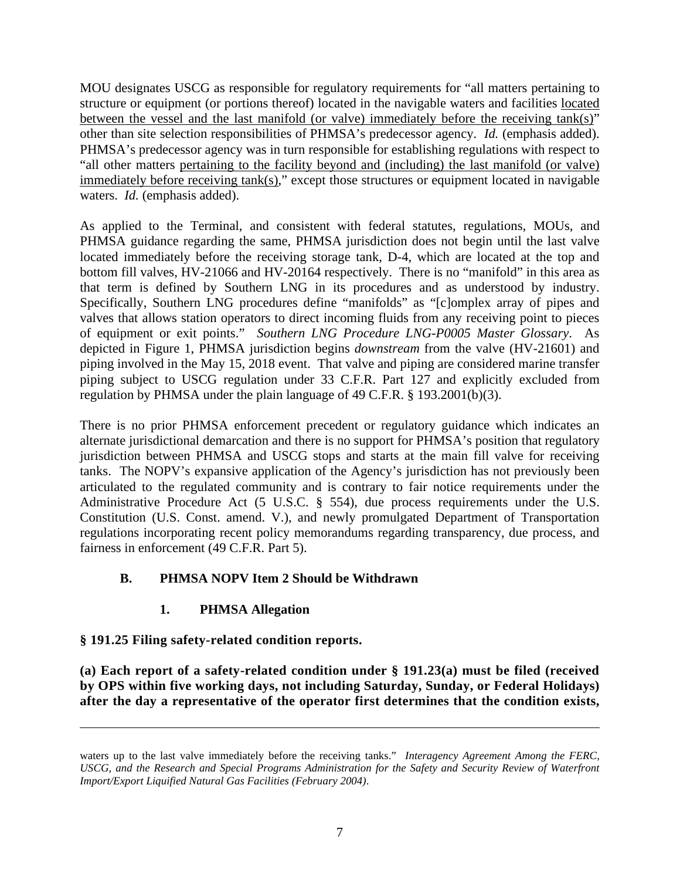MOU designates USCG as responsible for regulatory requirements for "all matters pertaining to structure or equipment (or portions thereof) located in the navigable waters and facilities located between the vessel and the last manifold (or valve) immediately before the receiving tank(s)" other than site selection responsibilities of PHMSA's predecessor agency. *Id.* (emphasis added). "all other matters pertaining to the facility beyond and (including) the last manifold (or valve) immediately before receiving  $tank(s)$ ," except those structures or equipment located in navigable waters. *Id.* (emphasis added). PHMSA's predecessor agency was in turn responsible for establishing regulations with respect to

 As applied to the Terminal, and consistent with federal statutes, regulations, MOUs, and PHMSA guidance regarding the same, PHMSA jurisdiction does not begin until the last valve located immediately before the receiving storage tank, D-4, which are located at the top and bottom fill valves, HV-21066 and HV-20164 respectively. There is no "manifold" in this area as that term is defined by Southern LNG in its procedures and as understood by industry. Specifically, Southern LNG procedures define "manifolds" as "[c]omplex array of pipes and valves that allows station operators to direct incoming fluids from any receiving point to pieces of equipment or exit points." *Southern LNG Procedure LNG-P0005 Master Glossary*. As depicted in Figure 1, PHMSA jurisdiction begins *downstream* from the valve (HV-21601) and piping subject to USCG regulation under 33 C.F.R. Part 127 and explicitly excluded from piping involved in the May 15, 2018 event. That valve and piping are considered marine transfer regulation by PHMSA under the plain language of 49 C.F.R. § 193.2001(b)(3).

 There is no prior PHMSA enforcement precedent or regulatory guidance which indicates an alternate jurisdictional demarcation and there is no support for PHMSA's position that regulatory jurisdiction between PHMSA and USCG stops and starts at the main fill valve for receiving tanks. The NOPV's expansive application of the Agency's jurisdiction has not previously been articulated to the regulated community and is contrary to fair notice requirements under the Administrative Procedure Act (5 U.S.C. § 554), due process requirements under the U.S. Constitution (U.S. Const. amend. V.), and newly promulgated Department of Transportation regulations incorporating recent policy memorandums regarding transparency, due process, and fairness in enforcement (49 C.F.R. Part 5).

# **B. PHMSA NOPV Item 2 Should be Withdrawn 1. PHMSA Allegation**

### **§ 191.25 Filing safety-related condition reports.**

 **(a) Each report of a safety-related condition under § 191.23(a) must be filed (received by OPS within five working days, not including Saturday, Sunday, or Federal Holidays) after the day a representative of the operator first determines that the condition exists,** 

 waters up to the last valve immediately before the receiving tanks." *Interagency Agreement Among the FERC,*  USCG, and the Research and Special Programs Administration for the Safety and Security Review of Waterfront  *Import/Export Liquified Natural Gas Facilities (February 2004)*.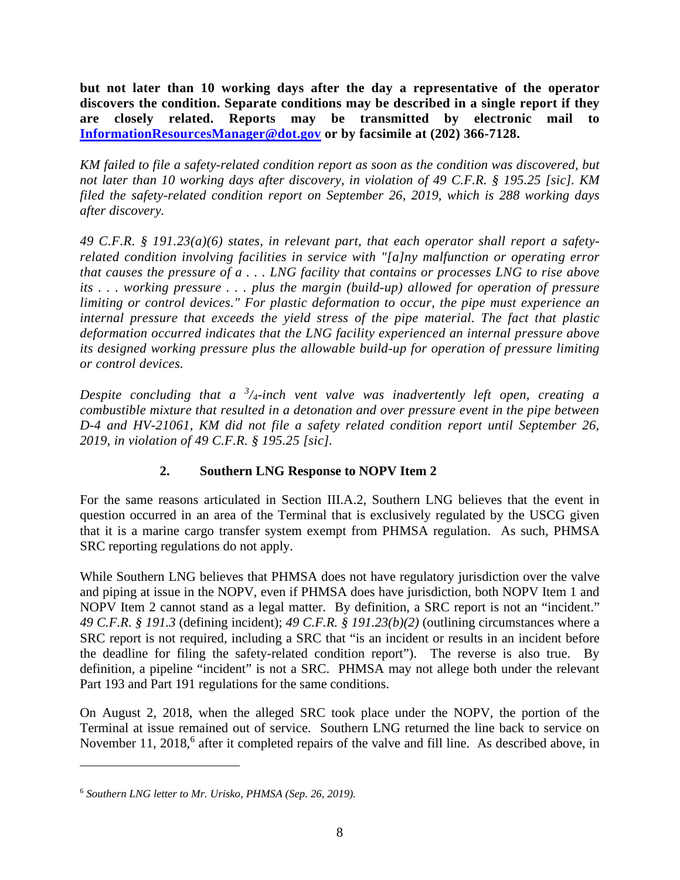**but not later than 10 working days after the day a representative of the operator discovers the condition. Separate conditions may be described in a single report if they**  are closelv  **[InformationResourcesManager@dot.gov](mailto:InformationResourcesManager@dot.gov) or by facsimile at (202) 366-7128. are closely related. Reports may be transmitted by electronic mail to** 

KM failed to file a safety-related condition report as soon as the condition was discovered, but  *not later than 10 working days after discovery, in violation of 49 C.F.R. § 195.25 [sic]. KM filed the safety-related condition report on September 26, 2019, which is 288 working days after discovery.* 

 *49 C.F.R. § 191.23(a)(6) states, in relevant part, that each operator shall report a safety- related condition involving facilities in service with "[a]ny malfunction or operating error that causes the pressure of a . . . LNG facility that contains or processes LNG to rise above its . . . working pressure . . . plus the margin (build-up) allowed for operation of pressure*  limiting or control devices." For plastic deformation to occur, the pipe must experience an  *internal pressure that exceeds the yield stress of the pipe material. The fact that plastic deformation occurred indicates that the LNG facility experienced an internal pressure above its designed working pressure plus the allowable build-up for operation of pressure limiting or control devices.* 

 *Despite concluding that a <sup>3</sup> /4-inch vent valve was inadvertently left open, creating a combustible mixture that resulted in a detonation and over pressure event in the pipe between D-4 and HV-21061, KM did not file a safety related condition report until September 26, 2019, in violation of 49 C.F.R. § 195.25 [sic].* 

### **2. Southern LNG Response to NOPV Item 2**

 For the same reasons articulated in Section III.A.2, Southern LNG believes that the event in question occurred in an area of the Terminal that is exclusively regulated by the USCG given that it is a marine cargo transfer system exempt from PHMSA regulation. As such, PHMSA SRC reporting regulations do not apply.

 While Southern LNG believes that PHMSA does not have regulatory jurisdiction over the valve and piping at issue in the NOPV, even if PHMSA does have jurisdiction, both NOPV Item 1 and NOPV Item 2 cannot stand as a legal matter. By definition, a SRC report is not an "incident." *49 C.F.R. § 191.3* (defining incident); *49 C.F.R. § 191.23(b)(2)* (outlining circumstances where a SRC report is not required, including a SRC that "is an incident or results in an incident before the deadline for filing the safety-related condition report"). The reverse is also true. By definition, a pipeline "incident" is not a SRC. PHMSA may not allege both under the relevant Part 193 and Part 191 regulations for the same conditions.

 Part 193 and Part 191 regulations for the same conditions. On August 2, 2018, when the alleged SRC took place under the NOPV, the portion of the Terminal at issue remained out of service. Southern LNG returned the line back to service on November 11, 2018, $6$  after it completed repairs of the valve and fill line. As described above, in

 <sup>6</sup>*Southern LNG letter to Mr. Urisko, PHMSA (Sep. 26, 2019).*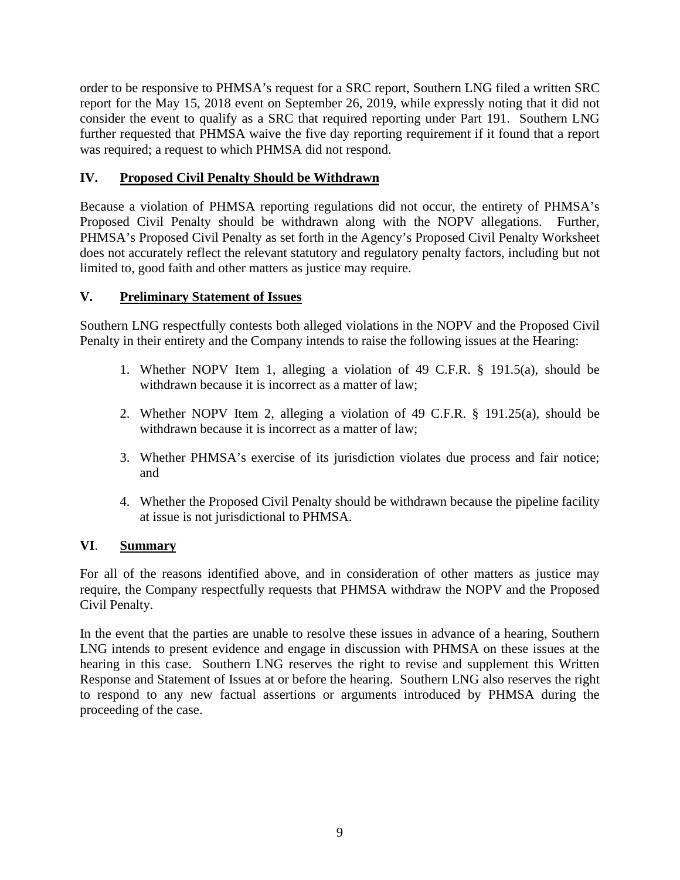order to be responsive to PHMSA's request for a SRC report, Southern LNG filed a written SRC report for the May 15, 2018 event on September 26, 2019, while expressly noting that it did not consider the event to qualify as a SRC that required reporting under Part 191. Southern LNG further requested that PHMSA waive the five day reporting requirement if it found that a report was required; a request to which PHMSA did not respond.

### **IV. Proposed Civil Penalty Should be Withdrawn**

 Because a violation of PHMSA reporting regulations did not occur, the entirety of PHMSA's Proposed Civil Penalty should be withdrawn along with the NOPV allegations. Further, PHMSA's Proposed Civil Penalty as set forth in the Agency's Proposed Civil Penalty Worksheet does not accurately reflect the relevant statutory and regulatory penalty factors, including but not limited to, good faith and other matters as justice may require.

### **V. Preliminary Statement of Issues**

Southern LNG respectfully contests both alleged violations in the NOPV and the Proposed Civil

- Penalty in their entirety and the Company intends to raise the following issues at the Hearing: 1. Whether NOPV Item 1, alleging a violation of 49 C.F.R. § 191.5(a), should be 1. Whether NOPV Item 1, alleging a violation of 49 C.F.R. § 191.5(a), should be withdrawn because it is incorrect as a matter of law;
	- withdrawn because it is incorrect as a matter of law;<br>2. Whether NOPV Item 2, alleging a violation of 49 C.F.R. § 191.25(a), should be withdrawn because it is incorrect as a matter of law;
	- 3. Whether PHMSA's exercise of its jurisdiction violates due process and fair notice; and
	- 4. Whether the Proposed Civil Penalty should be withdrawn because the pipeline facility at issue is not jurisdictional to PHMSA.

### **VI**. **Summary**

 For all of the reasons identified above, and in consideration of other matters as justice may require, the Company respectfully requests that PHMSA withdraw the NOPV and the Proposed Civil Penalty.

 In the event that the parties are unable to resolve these issues in advance of a hearing, Southern LNG intends to present evidence and engage in discussion with PHMSA on these issues at the hearing in this case. Southern LNG reserves the right to revise and supplement this Written Response and Statement of Issues at or before the hearing. Southern LNG also reserves the right to respond to any new factual assertions or arguments introduced by PHMSA during the proceeding of the case.